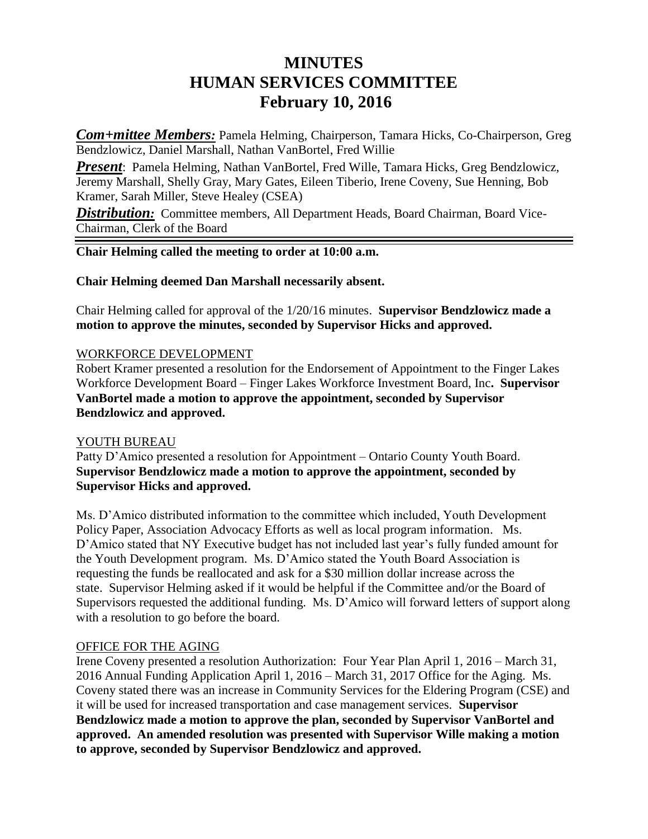# **MINUTES HUMAN SERVICES COMMITTEE February 10, 2016**

*Com+mittee Members:* Pamela Helming, Chairperson, Tamara Hicks, Co-Chairperson, Greg Bendzlowicz, Daniel Marshall, Nathan VanBortel, Fred Willie

*Present*: Pamela Helming, Nathan VanBortel, Fred Wille, Tamara Hicks, Greg Bendzlowicz, Jeremy Marshall, Shelly Gray, Mary Gates, Eileen Tiberio, Irene Coveny, Sue Henning, Bob Kramer, Sarah Miller, Steve Healey (CSEA)

**Distribution:** Committee members, All Department Heads, Board Chairman, Board Vice-Chairman, Clerk of the Board

#### **Chair Helming called the meeting to order at 10:00 a.m.**

#### **Chair Helming deemed Dan Marshall necessarily absent.**

Chair Helming called for approval of the 1/20/16 minutes. **Supervisor Bendzlowicz made a motion to approve the minutes, seconded by Supervisor Hicks and approved.**

#### WORKFORCE DEVELOPMENT

Robert Kramer presented a resolution for the Endorsement of Appointment to the Finger Lakes Workforce Development Board – Finger Lakes Workforce Investment Board, Inc**. Supervisor VanBortel made a motion to approve the appointment, seconded by Supervisor Bendzlowicz and approved.**

### YOUTH BUREAU

Patty D'Amico presented a resolution for Appointment – Ontario County Youth Board. **Supervisor Bendzlowicz made a motion to approve the appointment, seconded by Supervisor Hicks and approved.**

Ms. D'Amico distributed information to the committee which included, Youth Development Policy Paper, Association Advocacy Efforts as well as local program information. Ms. D'Amico stated that NY Executive budget has not included last year's fully funded amount for the Youth Development program. Ms. D'Amico stated the Youth Board Association is requesting the funds be reallocated and ask for a \$30 million dollar increase across the state. Supervisor Helming asked if it would be helpful if the Committee and/or the Board of Supervisors requested the additional funding. Ms. D'Amico will forward letters of support along with a resolution to go before the board.

### OFFICE FOR THE AGING

Irene Coveny presented a resolution Authorization: Four Year Plan April 1, 2016 – March 31, 2016 Annual Funding Application April 1, 2016 – March 31, 2017 Office for the Aging. Ms. Coveny stated there was an increase in Community Services for the Eldering Program (CSE) and it will be used for increased transportation and case management services. **Supervisor Bendzlowicz made a motion to approve the plan, seconded by Supervisor VanBortel and approved. An amended resolution was presented with Supervisor Wille making a motion to approve, seconded by Supervisor Bendzlowicz and approved.**